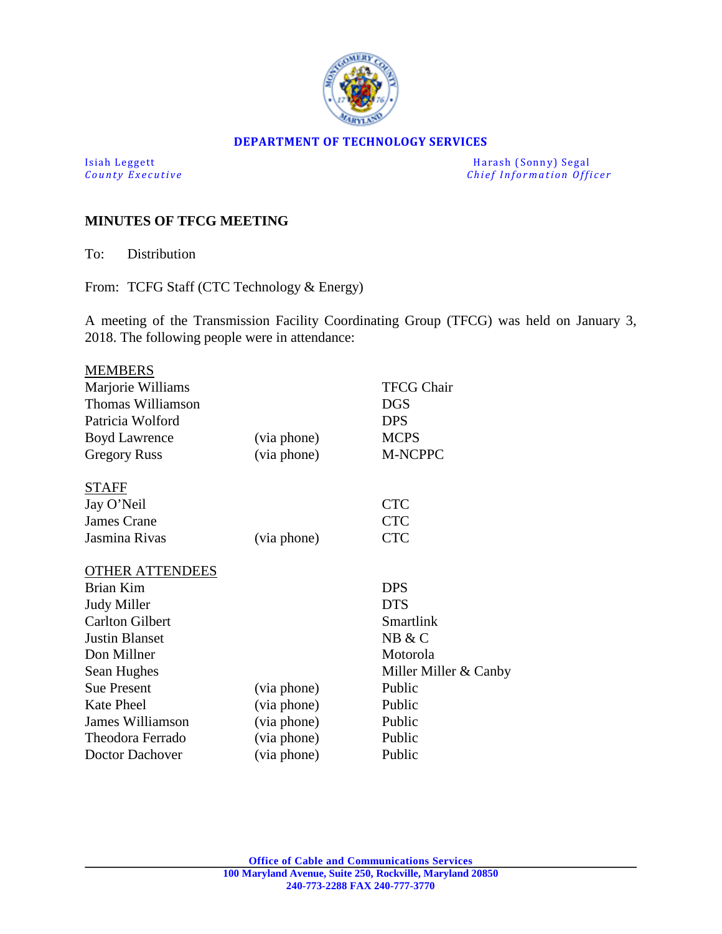

#### **DEPARTMENT OF TECHNOLOGY SERVICES**

Isiah Leggett Harash (Sonny) Segal<br>
County Executive County Executive Chief Information Officers *Chief Information Officer* 

# **MINUTES OF TFCG MEETING**

To: Distribution

From: TCFG Staff (CTC Technology & Energy)

A meeting of the Transmission Facility Coordinating Group (TFCG) was held on January 3, 2018. The following people were in attendance:

| <b>MEMBERS</b>          |             |                                |
|-------------------------|-------------|--------------------------------|
| Marjorie Williams       |             | <b>TFCG Chair</b>              |
| Thomas Williamson       |             | <b>DGS</b>                     |
| Patricia Wolford        |             | <b>DPS</b>                     |
| <b>Boyd Lawrence</b>    | (via phone) | <b>MCPS</b>                    |
| <b>Gregory Russ</b>     | (via phone) | M-NCPPC                        |
| <b>STAFF</b>            |             |                                |
| Jay O'Neil              |             | <b>CTC</b>                     |
| <b>James Crane</b>      |             | <b>CTC</b>                     |
| Jasmina Rivas           | (via phone) | <b>CTC</b>                     |
| <b>OTHER ATTENDEES</b>  |             |                                |
| <b>Brian Kim</b>        |             | <b>DPS</b>                     |
| <b>Judy Miller</b>      |             | <b>DTS</b>                     |
| <b>Carlton Gilbert</b>  |             | Smartlink                      |
| <b>Justin Blanset</b>   |             | NB & C                         |
| Don Millner             |             | Motorola                       |
| Sean Hughes             |             | Miller Miller $& \text{Canby}$ |
| <b>Sue Present</b>      | (via phone) | Public                         |
| <b>Kate Pheel</b>       | (via phone) | Public                         |
| <b>James Williamson</b> | (via phone) | Public                         |
| Theodora Ferrado        | (via phone) | Public                         |
| Doctor Dachover         | (via phone) | Public                         |
|                         |             |                                |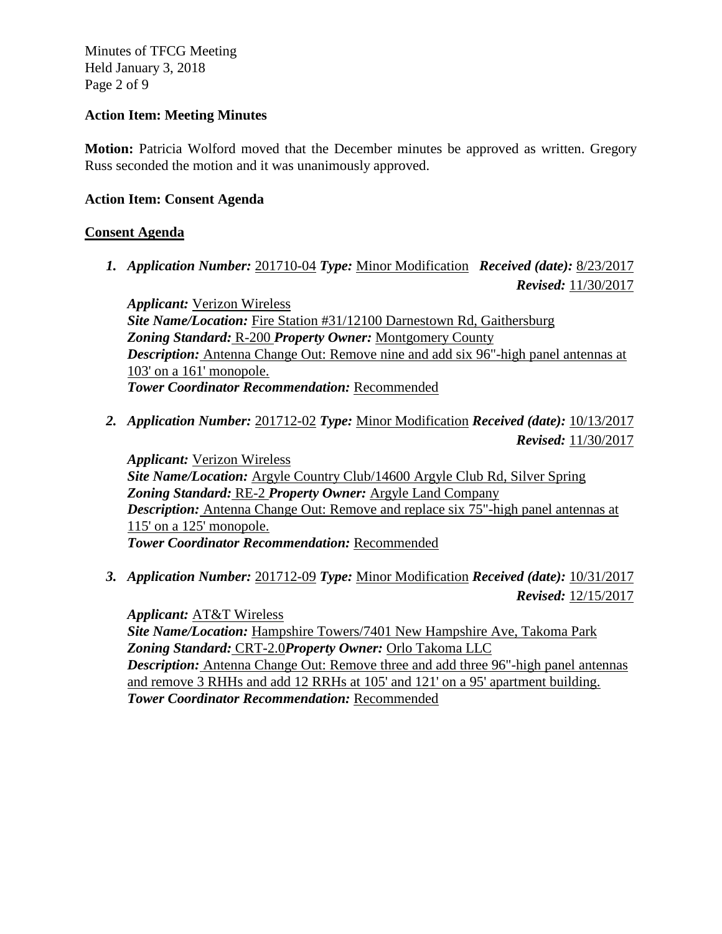Minutes of TFCG Meeting Held January 3, 2018 Page 2 of 9

#### **Action Item: Meeting Minutes**

**Motion:** Patricia Wolford moved that the December minutes be approved as written. Gregory Russ seconded the motion and it was unanimously approved.

## **Action Item: Consent Agenda**

# **Consent Agenda**

*1. Application Number:* 201710-04 *Type:* Minor Modification *Received (date):* 8/23/2017 *Revised:* 11/30/2017

*Applicant:* Verizon Wireless *Site Name/Location:* Fire Station #31/12100 Darnestown Rd, Gaithersburg *Zoning Standard:* R-200 *Property Owner:* Montgomery County *Description:* Antenna Change Out: Remove nine and add six 96"-high panel antennas at 103' on a 161' monopole. *Tower Coordinator Recommendation:* Recommended

*2. Application Number:* 201712-02 *Type:* Minor Modification *Received (date):* 10/13/2017 *Revised:* 11/30/2017

*Applicant:* Verizon Wireless *Site Name/Location:* Argyle Country Club/14600 Argyle Club Rd, Silver Spring *Zoning Standard:* RE-2 *Property Owner:* Argyle Land Company *Description:* Antenna Change Out: Remove and replace six 75"-high panel antennas at 115' on a 125' monopole. *Tower Coordinator Recommendation:* Recommended

*3. Application Number:* 201712-09 *Type:* Minor Modification *Received (date):* 10/31/2017 *Revised:* 12/15/2017

*Applicant:* AT&T Wireless *Site Name/Location:* Hampshire Towers/7401 New Hampshire Ave, Takoma Park *Zoning Standard:* CRT-2.0*Property Owner:* Orlo Takoma LLC *Description:* Antenna Change Out: Remove three and add three 96"-high panel antennas and remove 3 RHHs and add 12 RRHs at 105' and 121' on a 95' apartment building. *Tower Coordinator Recommendation:* Recommended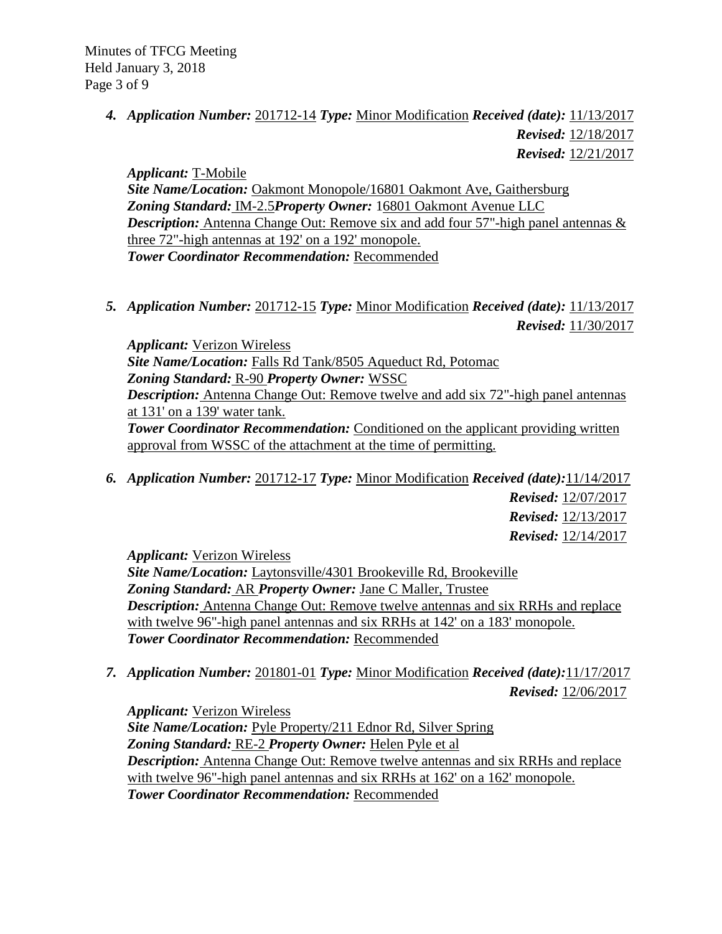*4. Application Number:* 201712-14 *Type:* Minor Modification *Received (date):* 11/13/2017 *Revised:* 12/18/2017  *Revised:* 12/21/2017

*Applicant:* T-Mobile

*Site Name/Location:* Oakmont Monopole/16801 Oakmont Ave, Gaithersburg *Zoning Standard:* IM-2.5*Property Owner:* 16801 Oakmont Avenue LLC *Description:* Antenna Change Out: Remove six and add four 57"-high panel antennas & three 72"-high antennas at 192' on a 192' monopole. *Tower Coordinator Recommendation:* Recommended

*5. Application Number:* 201712-15 *Type:* Minor Modification *Received (date):* 11/13/2017 *Revised:* 11/30/2017

*Applicant:* Verizon Wireless *Site Name/Location:* Falls Rd Tank/8505 Aqueduct Rd, Potomac *Zoning Standard:* R-90 *Property Owner:* WSSC *Description:* Antenna Change Out: Remove twelve and add six 72"-high panel antennas at 131' on a 139' water tank. **Tower Coordinator Recommendation:** Conditioned on the applicant providing written approval from WSSC of the attachment at the time of permitting.

*6. Application Number:* 201712-17 *Type:* Minor Modification *Received (date):*11/14/2017  *Revised:* 12/07/2017 *Revised:* 12/13/2017 *Revised:* 12/14/2017

*Applicant:* Verizon Wireless

*Site Name/Location:* Laytonsville/4301 Brookeville Rd, Brookeville *Zoning Standard:* AR *Property Owner:* Jane C Maller, Trustee *Description:* Antenna Change Out: Remove twelve antennas and six RRHs and replace with twelve 96"-high panel antennas and six RRHs at 142' on a 183' monopole. *Tower Coordinator Recommendation:* Recommended

*7. Application Number:* 201801-01 *Type:* Minor Modification *Received (date):*11/17/2017  *Revised:* 12/06/2017

*Applicant:* Verizon Wireless *Site Name/Location:* Pyle Property/211 Ednor Rd, Silver Spring *Zoning Standard:* RE-2 *Property Owner:* Helen Pyle et al *Description:* Antenna Change Out: Remove twelve antennas and six RRHs and replace with twelve 96"-high panel antennas and six RRHs at 162' on a 162' monopole. *Tower Coordinator Recommendation:* Recommended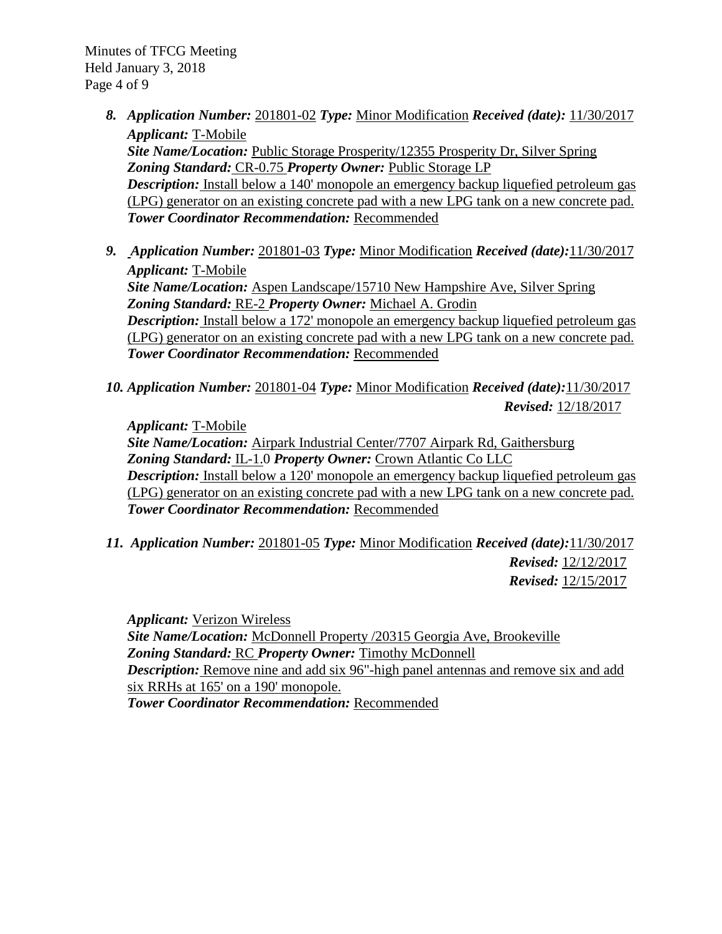Minutes of TFCG Meeting Held January 3, 2018 Page 4 of 9

- *8. Application Number:* 201801-02 *Type:* Minor Modification *Received (date):* 11/30/2017 *Applicant:* T-Mobile *Site Name/Location:* Public Storage Prosperity/12355 Prosperity Dr, Silver Spring *Zoning Standard:* CR-0.75 *Property Owner:* Public Storage LP *Description:* Install below a 140' monopole an emergency backup liquefied petroleum gas (LPG) generator on an existing concrete pad with a new LPG tank on a new concrete pad. *Tower Coordinator Recommendation:* Recommended
- *9. Application Number:* 201801-03 *Type:* Minor Modification *Received (date):*11/30/2017 *Applicant:* T-Mobile *Site Name/Location:* Aspen Landscape/15710 New Hampshire Ave, Silver Spring *Zoning Standard:* RE-2 *Property Owner:* Michael A. Grodin *Description:* Install below a 172' monopole an emergency backup liquefied petroleum gas (LPG) generator on an existing concrete pad with a new LPG tank on a new concrete pad. *Tower Coordinator Recommendation:* Recommended
- *10. Application Number:* 201801-04 *Type:* Minor Modification *Received (date):*11/30/2017 *Revised:* 12/18/2017

*Applicant:* T-Mobile

*Site Name/Location:* Airpark Industrial Center/7707 Airpark Rd, Gaithersburg *Zoning Standard:* IL-1.0 *Property Owner:* Crown Atlantic Co LLC *Description:* Install below a 120' monopole an emergency backup liquefied petroleum gas (LPG) generator on an existing concrete pad with a new LPG tank on a new concrete pad. *Tower Coordinator Recommendation:* Recommended

*11. Application Number:* 201801-05 *Type:* Minor Modification *Received (date):*11/30/2017  *Revised:* 12/12/2017  *Revised:* 12/15/2017

*Applicant:* Verizon Wireless *Site Name/Location:* McDonnell Property /20315 Georgia Ave, Brookeville *Zoning Standard:* RC *Property Owner:* Timothy McDonnell *Description:* Remove nine and add six 96"-high panel antennas and remove six and add six RRHs at 165' on a 190' monopole. *Tower Coordinator Recommendation:* Recommended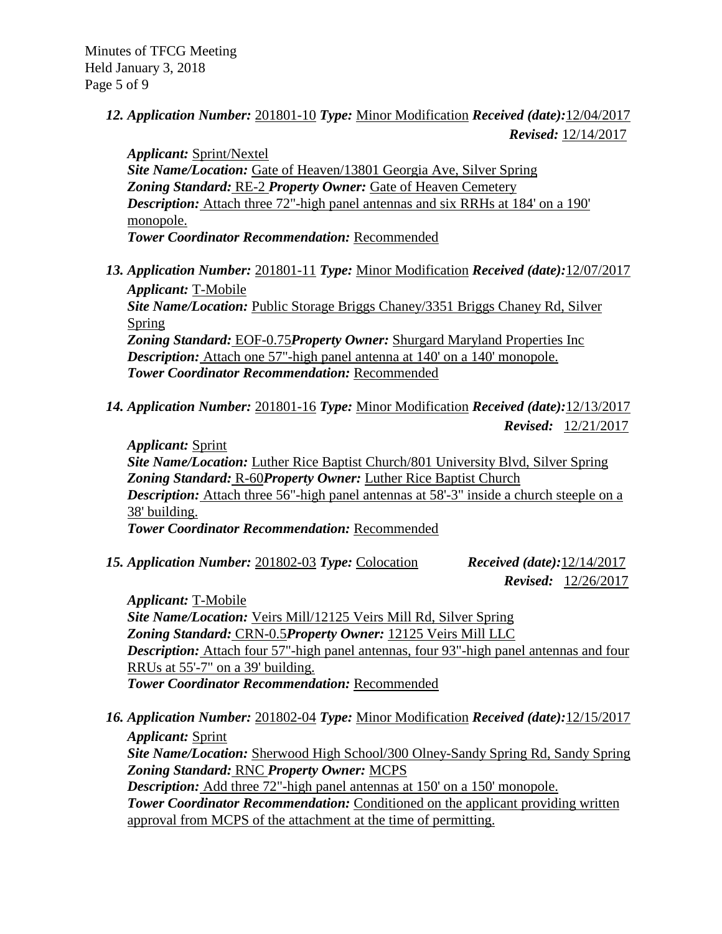Minutes of TFCG Meeting Held January 3, 2018 Page 5 of 9

> *12. Application Number:* 201801-10 *Type:* Minor Modification *Received (date):*12/04/2017  *Revised:* 12/14/2017

*Applicant:* Sprint/Nextel *Site Name/Location:* Gate of Heaven/13801 Georgia Ave, Silver Spring *Zoning Standard:* RE-2 *Property Owner:* Gate of Heaven Cemetery *Description:* Attach three 72"-high panel antennas and six RRHs at 184' on a 190' monopole. *Tower Coordinator Recommendation:* Recommended

*13. Application Number:* 201801-11 *Type:* Minor Modification *Received (date):*12/07/2017 *Applicant:* T-Mobile *Site Name/Location:* Public Storage Briggs Chaney/3351 Briggs Chaney Rd, Silver Spring *Zoning Standard:* EOF-0.75*Property Owner:* Shurgard Maryland Properties Inc *Description:* Attach one 57"-high panel antenna at 140' on a 140' monopole.

*Tower Coordinator Recommendation:* Recommended

*14. Application Number:* 201801-16 *Type:* Minor Modification *Received (date):*12/13/2017 *Revised:* 12/21/2017

*Applicant:* Sprint *Site Name/Location:* Luther Rice Baptist Church/801 University Blvd, Silver Spring *Zoning Standard:* R-60*Property Owner:* Luther Rice Baptist Church *Description:* Attach three 56"-high panel antennas at 58'-3" inside a church steeple on a 38' building. *Tower Coordinator Recommendation:* Recommended

*15. Application Number:* 201802-03 *Type:* Colocation *Received (date):*12/14/2017

*Revised:* 12/26/2017

*Applicant:* T-Mobile *Site Name/Location:* Veirs Mill/12125 Veirs Mill Rd, Silver Spring *Zoning Standard:* CRN-0.5*Property Owner:* 12125 Veirs Mill LLC *Description:* Attach four 57"-high panel antennas, four 93"-high panel antennas and four RRUs at 55'-7" on a 39' building. *Tower Coordinator Recommendation:* Recommended

*16. Application Number:* 201802-04 *Type:* Minor Modification *Received (date):*12/15/2017 *Applicant:* Sprint *Site Name/Location:* Sherwood High School/300 Olney-Sandy Spring Rd, Sandy Spring *Zoning Standard:* RNC *Property Owner:* MCPS *Description:* Add three 72"-high panel antennas at 150' on a 150' monopole. **Tower Coordinator Recommendation:** Conditioned on the applicant providing written approval from MCPS of the attachment at the time of permitting.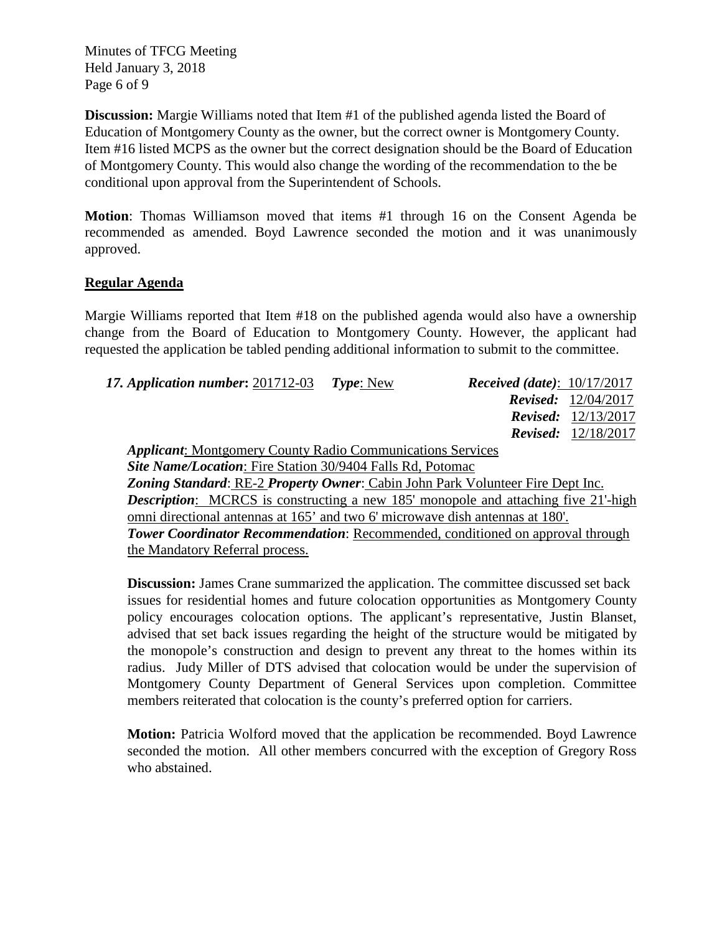Minutes of TFCG Meeting Held January 3, 2018 Page 6 of 9

**Discussion:** Margie Williams noted that Item #1 of the published agenda listed the Board of Education of Montgomery County as the owner, but the correct owner is Montgomery County. Item #16 listed MCPS as the owner but the correct designation should be the Board of Education of Montgomery County. This would also change the wording of the recommendation to the be conditional upon approval from the Superintendent of Schools.

**Motion**: Thomas Williamson moved that items #1 through 16 on the Consent Agenda be recommended as amended. Boyd Lawrence seconded the motion and it was unanimously approved.

# **Regular Agenda**

Margie Williams reported that Item #18 on the published agenda would also have a ownership change from the Board of Education to Montgomery County. However, the applicant had requested the application be tabled pending additional information to submit to the committee.

| 17. Application number: 201712-03                                                         | Type: New | <i>Received (date)</i> : $10/17/2017$ |                            |  |
|-------------------------------------------------------------------------------------------|-----------|---------------------------------------|----------------------------|--|
|                                                                                           |           |                                       | Revised: 12/04/2017        |  |
|                                                                                           |           |                                       | <b>Revised:</b> 12/13/2017 |  |
|                                                                                           |           |                                       | <b>Revised:</b> 12/18/2017 |  |
| <b>Applicant:</b> Montgomery County Radio Communications Services                         |           |                                       |                            |  |
| <b>Site Name/Location:</b> Fire Station 30/9404 Falls Rd, Potomac                         |           |                                       |                            |  |
| Zoning Standard: RE-2 Property Owner: Cabin John Park Volunteer Fire Dept Inc.            |           |                                       |                            |  |
| <b>Description:</b> MCRCS is constructing a new 185' monopole and attaching five 21'-high |           |                                       |                            |  |
| omni directional antennas at 165' and two 6' microwave dish antennas at 180'.             |           |                                       |                            |  |
| <b>Tower Coordinator Recommendation:</b> Recommended, conditioned on approval through     |           |                                       |                            |  |
| the Mandatory Referral process.                                                           |           |                                       |                            |  |

**Discussion:** James Crane summarized the application. The committee discussed set back issues for residential homes and future colocation opportunities as Montgomery County policy encourages colocation options. The applicant's representative, Justin Blanset, advised that set back issues regarding the height of the structure would be mitigated by the monopole's construction and design to prevent any threat to the homes within its radius. Judy Miller of DTS advised that colocation would be under the supervision of Montgomery County Department of General Services upon completion. Committee members reiterated that colocation is the county's preferred option for carriers.

**Motion:** Patricia Wolford moved that the application be recommended. Boyd Lawrence seconded the motion. All other members concurred with the exception of Gregory Ross who abstained.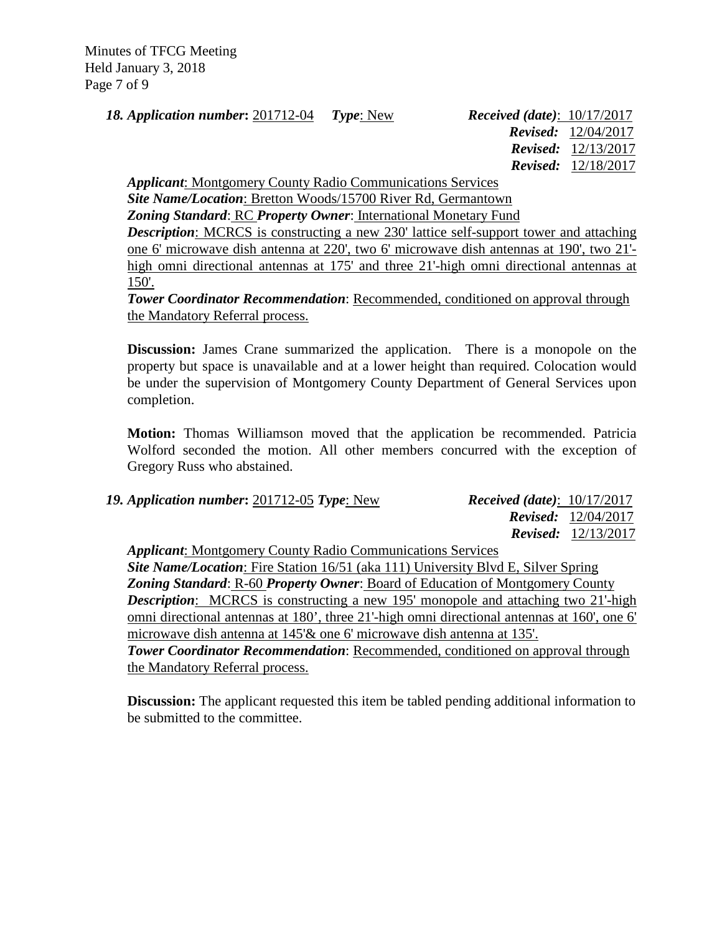Minutes of TFCG Meeting Held January 3, 2018 Page 7 of 9

*18. Application number***:** 201712-04 *Type*: New *Received (date)*: 10/17/2017

 *Revised:* 12/04/2017  *Revised:* 12/13/2017  *Revised:* 12/18/2017

*Applicant*: Montgomery County Radio Communications Services

*Site Name/Location*: Bretton Woods/15700 River Rd, Germantown

*Zoning Standard*: RC *Property Owner*: International Monetary Fund

*Description*: MCRCS is constructing a new 230' lattice self-support tower and attaching one 6' microwave dish antenna at 220', two 6' microwave dish antennas at 190', two 21' high omni directional antennas at 175' and three 21'-high omni directional antennas at 150'.

*Tower Coordinator Recommendation: Recommended, conditioned on approval through* the Mandatory Referral process.

**Discussion:** James Crane summarized the application. There is a monopole on the property but space is unavailable and at a lower height than required. Colocation would be under the supervision of Montgomery County Department of General Services upon completion.

**Motion:** Thomas Williamson moved that the application be recommended. Patricia Wolford seconded the motion. All other members concurred with the exception of Gregory Russ who abstained.

| 19. Application number: 201712-05 Type: New                                              | <i>Received (date)</i> : $10/17/2017$ |                              |
|------------------------------------------------------------------------------------------|---------------------------------------|------------------------------|
|                                                                                          |                                       | <b>Revised:</b> $12/04/2017$ |
|                                                                                          |                                       | <b>Revised:</b> $12/13/2017$ |
| <b>Applicant:</b> Montgomery County Radio Communications Services                        |                                       |                              |
| <b>Site Name/Location:</b> Fire Station 16/51 (aka 111) University Rlyd F. Silver Spring |                                       |                              |

*Site Name/Location*: Fire Station 16/51 (aka 111) University Blvd E, Silver Spring *Zoning Standard*: R-60 *Property Owner*: Board of Education of Montgomery County *Description*: MCRCS is constructing a new 195' monopole and attaching two 21'-high omni directional antennas at 180', three 21'-high omni directional antennas at 160', one 6' microwave dish antenna at 145'& one 6' microwave dish antenna at 135'. *Tower Coordinator Recommendation*: Recommended, conditioned on approval through the Mandatory Referral process.

**Discussion:** The applicant requested this item be tabled pending additional information to be submitted to the committee.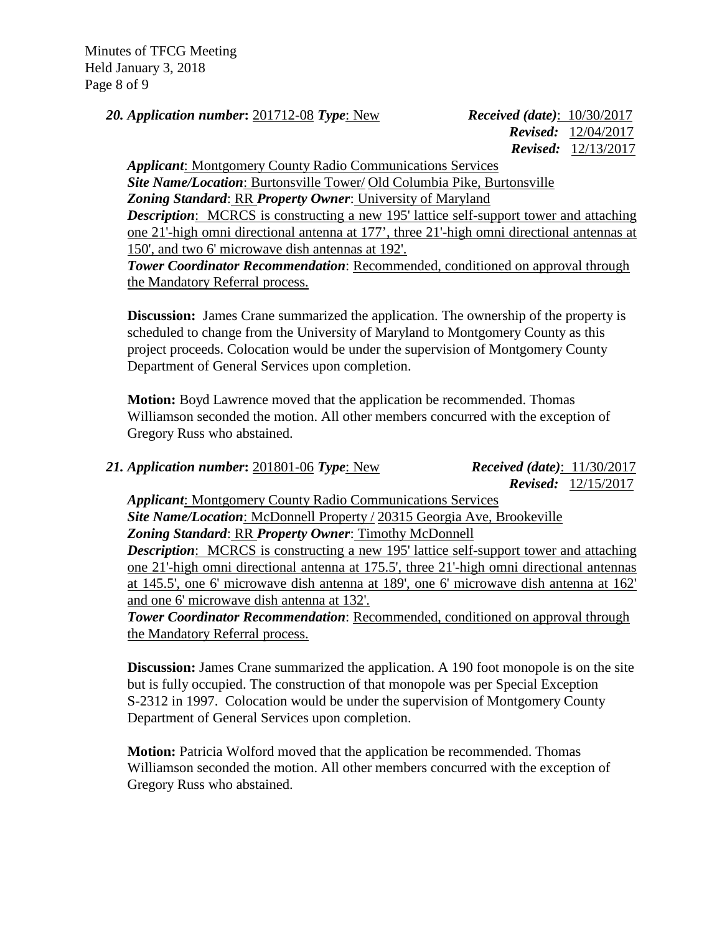Minutes of TFCG Meeting Held January 3, 2018 Page 8 of 9

*20. Application number***:** 201712-08 *Type*: New *Received (date)*: 10/30/2017

 *Revised:* 12/04/2017  *Revised:* 12/13/2017

*Applicant*: Montgomery County Radio Communications Services *Site Name/Location*: Burtonsville Tower/ Old Columbia Pike, Burtonsville *Zoning Standard*: RR *Property Owner*: University of Maryland *Description*: MCRCS is constructing a new 195' lattice self-support tower and attaching one 21'-high omni directional antenna at 177', three 21'-high omni directional antennas at 150', and two 6' microwave dish antennas at 192'.

*Tower Coordinator Recommendation*: Recommended, conditioned on approval through the Mandatory Referral process.

**Discussion:** James Crane summarized the application. The ownership of the property is scheduled to change from the University of Maryland to Montgomery County as this project proceeds. Colocation would be under the supervision of Montgomery County Department of General Services upon completion.

**Motion:** Boyd Lawrence moved that the application be recommended. Thomas Williamson seconded the motion. All other members concurred with the exception of Gregory Russ who abstained.

*21. Application number***:** 201801-06 *Type*: New *Received (date)*: 11/30/2017

 *Revised:* 12/15/2017

*Applicant*: Montgomery County Radio Communications Services *Site Name/Location*: McDonnell Property / 20315 Georgia Ave, Brookeville *Zoning Standard*: RR *Property Owner*: Timothy McDonnell *Description*: MCRCS is constructing a new 195' lattice self-support tower and attaching one 21'-high omni directional antenna at 175.5', three 21'-high omni directional antennas at 145.5', one 6' microwave dish antenna at 189', one 6' microwave dish antenna at 162' and one 6' microwave dish antenna at 132'.

*Tower Coordinator Recommendation*: Recommended, conditioned on approval through the Mandatory Referral process.

**Discussion:** James Crane summarized the application. A 190 foot monopole is on the site but is fully occupied. The construction of that monopole was per Special Exception S-2312 in 1997. Colocation would be under the supervision of Montgomery County Department of General Services upon completion.

**Motion:** Patricia Wolford moved that the application be recommended. Thomas Williamson seconded the motion. All other members concurred with the exception of Gregory Russ who abstained.